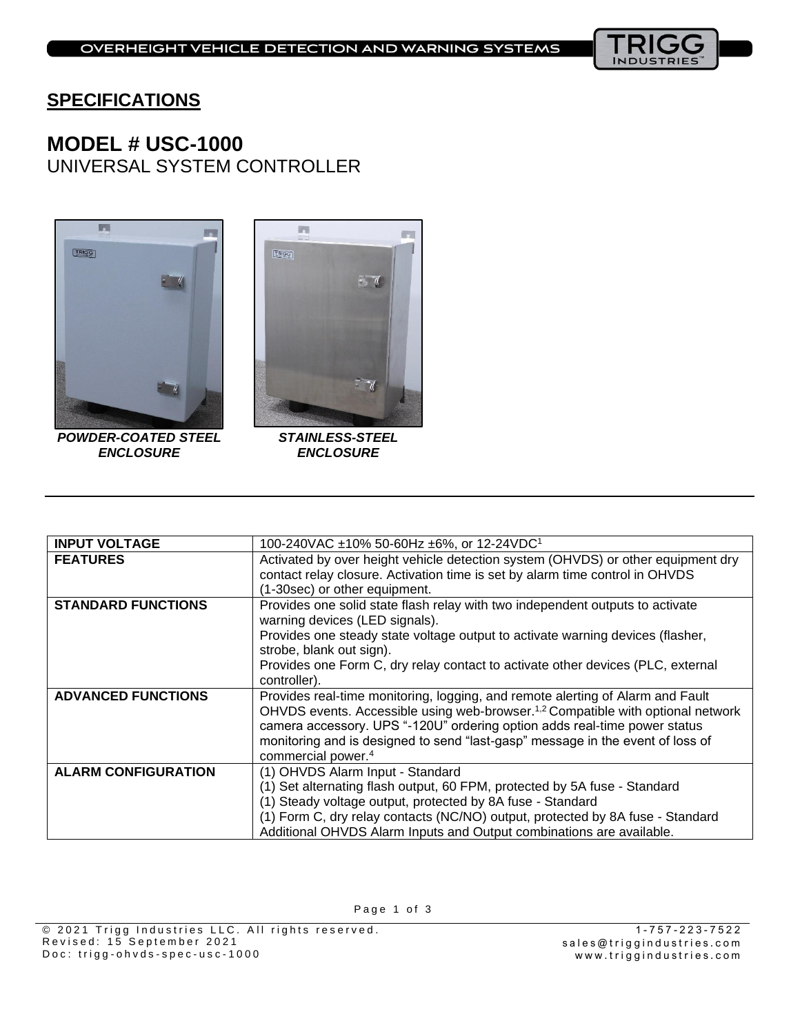

## **SPECIFICATIONS**

# **MODEL # USC-1000** UNIVERSAL SYSTEM CONTROLLER





*POWDER-COATED STEEL ENCLOSURE*

*STAINLESS-STEEL ENCLOSURE*

| <b>INPUT VOLTAGE</b>       | 100-240VAC ±10% 50-60Hz ±6%, or 12-24VDC <sup>1</sup>                                       |  |  |  |  |  |
|----------------------------|---------------------------------------------------------------------------------------------|--|--|--|--|--|
| <b>FEATURES</b>            | Activated by over height vehicle detection system (OHVDS) or other equipment dry            |  |  |  |  |  |
|                            | contact relay closure. Activation time is set by alarm time control in OHVDS                |  |  |  |  |  |
|                            | (1-30sec) or other equipment.                                                               |  |  |  |  |  |
| <b>STANDARD FUNCTIONS</b>  | Provides one solid state flash relay with two independent outputs to activate               |  |  |  |  |  |
|                            | warning devices (LED signals).                                                              |  |  |  |  |  |
|                            | Provides one steady state voltage output to activate warning devices (flasher,              |  |  |  |  |  |
|                            | strobe, blank out sign).                                                                    |  |  |  |  |  |
|                            | Provides one Form C, dry relay contact to activate other devices (PLC, external             |  |  |  |  |  |
|                            | controller).                                                                                |  |  |  |  |  |
| <b>ADVANCED FUNCTIONS</b>  | Provides real-time monitoring, logging, and remote alerting of Alarm and Fault              |  |  |  |  |  |
|                            | OHVDS events. Accessible using web-browser. <sup>1,2</sup> Compatible with optional network |  |  |  |  |  |
|                            | camera accessory. UPS "-120U" ordering option adds real-time power status                   |  |  |  |  |  |
|                            | monitoring and is designed to send "last-gasp" message in the event of loss of              |  |  |  |  |  |
|                            | commercial power. <sup>4</sup>                                                              |  |  |  |  |  |
| <b>ALARM CONFIGURATION</b> | (1) OHVDS Alarm Input - Standard                                                            |  |  |  |  |  |
|                            | (1) Set alternating flash output, 60 FPM, protected by 5A fuse - Standard                   |  |  |  |  |  |
|                            | (1) Steady voltage output, protected by 8A fuse - Standard                                  |  |  |  |  |  |
|                            | (1) Form C, dry relay contacts (NC/NO) output, protected by 8A fuse - Standard              |  |  |  |  |  |
|                            | Additional OHVDS Alarm Inputs and Output combinations are available.                        |  |  |  |  |  |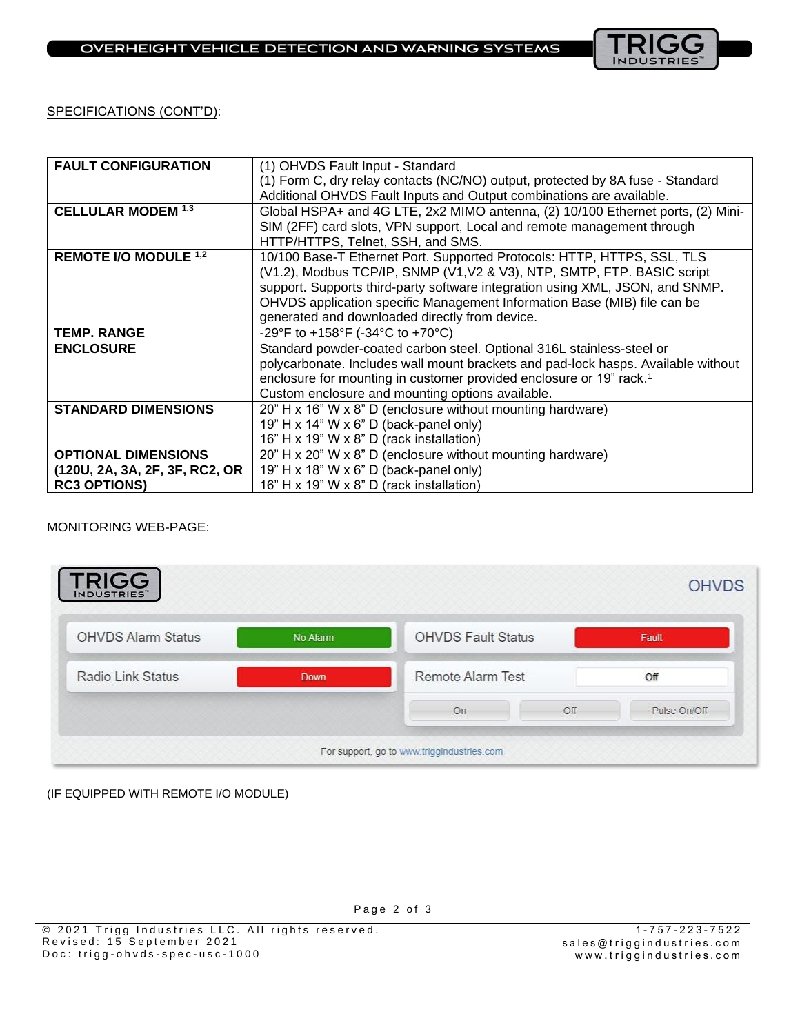

SPECIFICATIONS (CONT'D):

| <b>FAULT CONFIGURATION</b>     | (1) OHVDS Fault Input - Standard                                                  |  |  |  |  |  |
|--------------------------------|-----------------------------------------------------------------------------------|--|--|--|--|--|
|                                | (1) Form C, dry relay contacts (NC/NO) output, protected by 8A fuse - Standard    |  |  |  |  |  |
|                                | Additional OHVDS Fault Inputs and Output combinations are available.              |  |  |  |  |  |
| <b>CELLULAR MODEM 1,3</b>      | Global HSPA+ and 4G LTE, 2x2 MIMO antenna, (2) 10/100 Ethernet ports, (2) Mini-   |  |  |  |  |  |
|                                | SIM (2FF) card slots, VPN support, Local and remote management through            |  |  |  |  |  |
|                                | HTTP/HTTPS, Telnet, SSH, and SMS.                                                 |  |  |  |  |  |
| REMOTE I/O MODULE 1,2          | 10/100 Base-T Ethernet Port. Supported Protocols: HTTP, HTTPS, SSL, TLS           |  |  |  |  |  |
|                                | (V1.2), Modbus TCP/IP, SNMP (V1, V2 & V3), NTP, SMTP, FTP. BASIC script           |  |  |  |  |  |
|                                | support. Supports third-party software integration using XML, JSON, and SNMP.     |  |  |  |  |  |
|                                | OHVDS application specific Management Information Base (MIB) file can be          |  |  |  |  |  |
|                                | generated and downloaded directly from device.                                    |  |  |  |  |  |
| <b>TEMP. RANGE</b>             | -29°F to +158°F (-34°C to +70°C)                                                  |  |  |  |  |  |
| <b>ENCLOSURE</b>               | Standard powder-coated carbon steel. Optional 316L stainless-steel or             |  |  |  |  |  |
|                                | polycarbonate. Includes wall mount brackets and pad-lock hasps. Available without |  |  |  |  |  |
|                                |                                                                                   |  |  |  |  |  |
|                                | enclosure for mounting in customer provided enclosure or 19" rack. <sup>1</sup>   |  |  |  |  |  |
|                                | Custom enclosure and mounting options available.                                  |  |  |  |  |  |
| <b>STANDARD DIMENSIONS</b>     | 20" H x 16" W x 8" D (enclosure without mounting hardware)                        |  |  |  |  |  |
|                                | 19" H x 14" W x 6" D (back-panel only)                                            |  |  |  |  |  |
|                                | 16" H x 19" W x 8" D (rack installation)                                          |  |  |  |  |  |
| <b>OPTIONAL DIMENSIONS</b>     | 20" H x 20" W x 8" D (enclosure without mounting hardware)                        |  |  |  |  |  |
| (120U, 2A, 3A, 2F, 3F, RC2, OR | 19" H x 18" W x 6" D (back-panel only)                                            |  |  |  |  |  |

#### MONITORING WEB-PAGE:

|             |                                                       |     | <b>OHVDS</b> |  |
|-------------|-------------------------------------------------------|-----|--------------|--|
| No Alarm    | <b>OHVDS Fault Status</b><br><b>Remote Alarm Test</b> |     | Fault<br>Off |  |
| <b>Down</b> |                                                       |     |              |  |
|             | On                                                    | Off | Pulse On/Off |  |
|             |                                                       |     |              |  |

(IF EQUIPPED WITH REMOTE I/O MODULE)